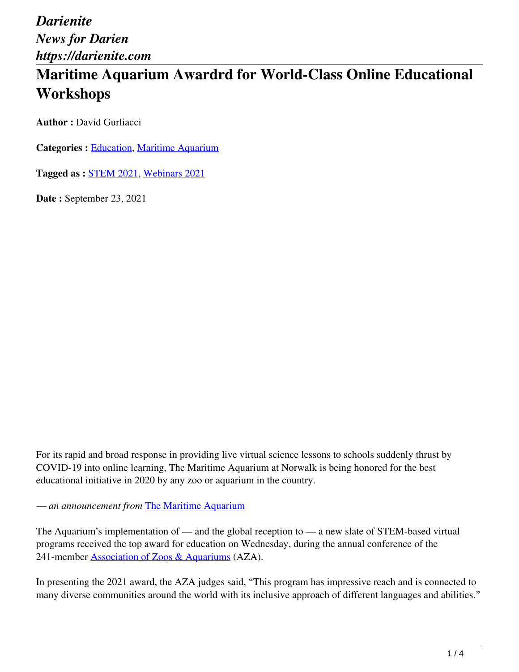# **Maritime Aquarium Awardrd for World-Class Online Educational Workshops**

**Author :** David Gurliacci

**Categories :** [Education,](https://darienite.com/category/news/education) Maritime Aquarium

**Tagged as :** STEM 2021, Webinars 2021

**Date :** September 23, 2021

For its rapid and broad response in providing live virtual science lessons to schools suddenly thrust by COVID-19 into online learning, The Maritime Aquarium at Norwalk is being honored for the best educational initiative in 2020 by any zoo or aquarium in the country.

*— an announcement from* The Maritime Aquarium

The Aquarium's implementation of — and the global reception to — a new slate of STEM-based virtual programs received the top award for education on Wednesday, during the annual conference of the 241-member Association of Zoos & Aquariums (AZA).

In presenting the 2021 award, the AZA judges said, "This program has impressive reach and is connected to many diverse communities around the world with its inclusive approach of different languages and abilities."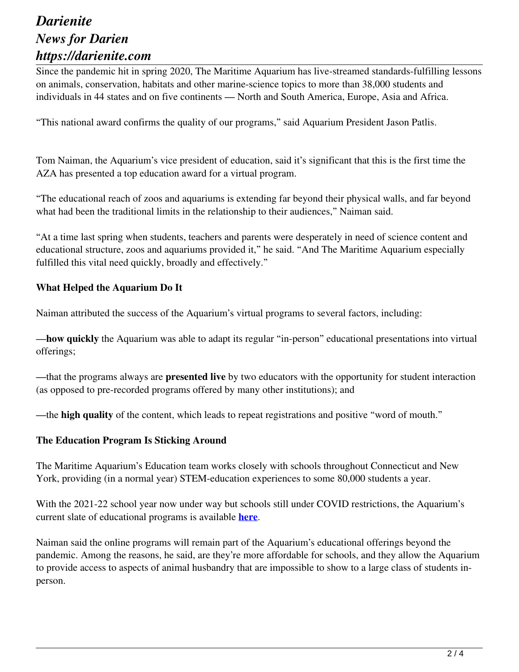Since the pandemic hit in spring 2020, The Maritime Aquarium has live-streamed standards-fulfilling lessons on animals, conservation, habitats and other marine-science topics to more than 38,000 students and individuals in 44 states and on five continents — North and South America, Europe, Asia and Africa.

"This national award confirms the quality of our programs," said Aquarium President Jason Patlis.

Tom Naiman, the Aquarium's vice president of education, said it's significant that this is the first time the AZA has presented a top education award for a virtual program.

"The educational reach of zoos and aquariums is extending far beyond their physical walls, and far beyond what had been the traditional limits in the relationship to their audiences," Naiman said.

"At a time last spring when students, teachers and parents were desperately in need of science content and educational structure, zoos and aquariums provided it," he said. "And The Maritime Aquarium especially fulfilled this vital need quickly, broadly and effectively."

#### **What Helped the Aquarium Do It**

Naiman attributed the success of the Aquarium's virtual programs to several factors, including:

—**how quickly** the Aquarium was able to adapt its regular "in-person" educational presentations into virtual offerings;

—that the programs always are **presented live** by two educators with the opportunity for student interaction (as opposed to pre-recorded programs offered by many other institutions); and

—the **high quality** of the content, which leads to repeat registrations and positive "word of mouth."

#### **The Education Program Is Sticking Around**

The Maritime Aquarium's Education team works closely with schools throughout Connecticut and New York, providing (in a normal year) STEM-education experiences to some 80,000 students a year.

With the 2021-22 school year now under way but schools still under COVID restrictions, the Aquarium's current slate of educational programs is available **here**.

Naiman said the online programs will remain part of the Aquarium's educational offerings beyond the pandemic. Among the reasons, he said, are they're more affordable for schools, and they allow the Aquarium to provide access to aspects of animal husbandry that are impossible to show to a large class of students inperson.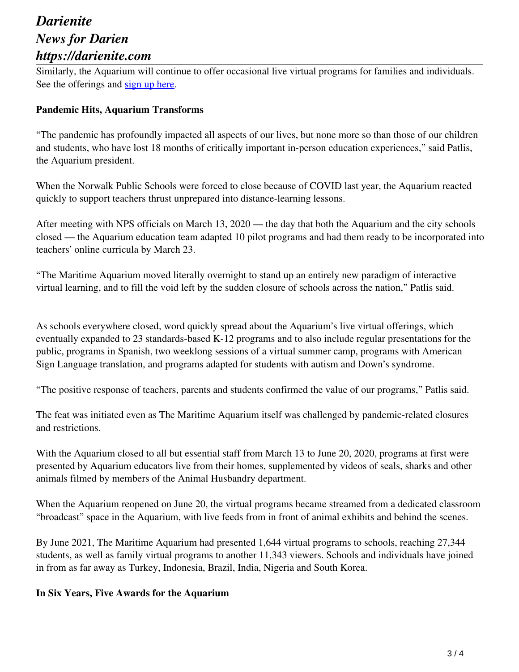Similarly, the Aquarium will continue to offer occasional live virtual programs for families and individuals. See the offerings and sign up here.

### **Pandemic Hits, Aquarium Transforms**

"The pandemic has profoundly impacted all aspects of our lives, but none more so than those of our children and students, who have lost 18 months of critically important in-person education experiences," said Patlis, the Aquarium president.

When the Norwalk Public Schools were forced to close because of COVID last year, the Aquarium reacted quickly to support teachers thrust unprepared into distance-learning lessons.

After meeting with NPS officials on March 13, 2020 — the day that both the Aquarium and the city schools closed — the Aquarium education team adapted 10 pilot programs and had them ready to be incorporated into teachers' online curricula by March 23.

"The Maritime Aquarium moved literally overnight to stand up an entirely new paradigm of interactive virtual learning, and to fill the void left by the sudden closure of schools across the nation," Patlis said.

As schools everywhere closed, word quickly spread about the Aquarium's live virtual offerings, which eventually expanded to 23 standards-based K-12 programs and to also include regular presentations for the public, programs in Spanish, two weeklong sessions of a virtual summer camp, programs with American Sign Language translation, and programs adapted for students with autism and Down's syndrome.

"The positive response of teachers, parents and students confirmed the value of our programs," Patlis said.

The feat was initiated even as The Maritime Aquarium itself was challenged by pandemic-related closures and restrictions.

With the Aquarium closed to all but essential staff from March 13 to June 20, 2020, programs at first were presented by Aquarium educators live from their homes, supplemented by videos of seals, sharks and other animals filmed by members of the Animal Husbandry department.

When the Aquarium reopened on June 20, the virtual programs became streamed from a dedicated classroom "broadcast" space in the Aquarium, with live feeds from in front of animal exhibits and behind the scenes.

By June 2021, The Maritime Aquarium had presented 1,644 virtual programs to schools, reaching 27,344 students, as well as family virtual programs to another 11,343 viewers. Schools and individuals have joined in from as far away as Turkey, Indonesia, Brazil, India, Nigeria and South Korea.

#### **In Six Years, Five Awards for the Aquarium**